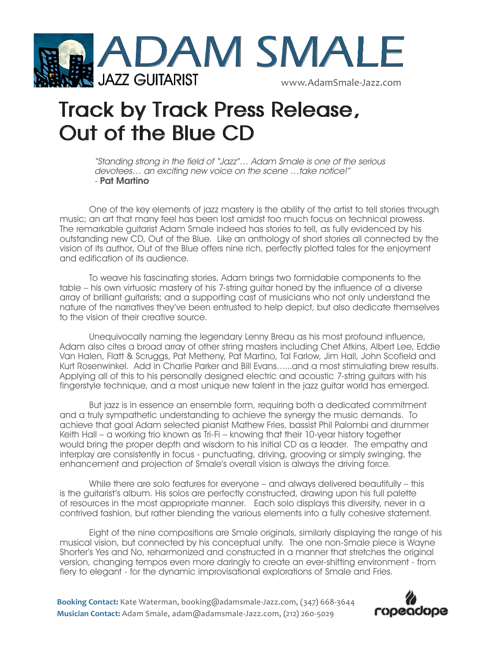

## **Track by Track Press Release, Out of the Blue CD**

"Standing strong in the field of "Jazz"… Adam Smale is one of the serious devotees… an exciting new voice on the scene …take notice!" - Pat Martino

One of the key elements of jazz mastery is the ability of the artist to tell stories through music; an art that many feel has been lost amidst too much focus on technical prowess. The remarkable guitarist Adam Smale indeed has stories to tell, as fully evidenced by his outstanding new CD, Out of the Blue. Like an anthology of short stories all connected by the vision of its author, Out of the Blue offers nine rich, perfectly plotted tales for the enjoyment and edification of its audience.

To weave his fascinating stories, Adam brings two formidable components to the table – his own virtuosic mastery of his 7-string guitar honed by the influence of a diverse array of brilliant guitarists; and a supporting cast of musicians who not only understand the nature of the narratives they've been entrusted to help depict, but also dedicate themselves to the vision of their creative source.

Unequivocally naming the legendary Lenny Breau as his most profound influence, Adam also cites a broad array of other string masters including Chet Atkins, Albert Lee, Eddie Van Halen, Flatt & Scruggs, Pat Metheny, Pat Martino, Tal Farlow, Jim Hall, John Scofield and Kurt Rosenwinkel. Add in Charlie Parker and Bill Evans…...and a most stimulating brew results. Applying all of this to his personally designed electric and acoustic 7-string guitars with his fingerstyle technique, and a most unique new talent in the jazz guitar world has emerged.

But jazz is in essence an ensemble form, requiring both a dedicated commitment and a truly sympathetic understanding to achieve the synergy the music demands. To achieve that goal Adam selected pianist Mathew Fries, bassist Phil Palombi and drummer Keith Hall – a working trio known as Tri-Fi – knowing that their 10-year history together would bring the proper depth and wisdom to his initial CD as a leader. The empathy and interplay are consistently in focus - punctuating, driving, grooving or simply swinging, the enhancement and projection of Smale's overall vision is always the driving force.

While there are solo features for everyone – and always delivered beautifully – this is the guitarist's album. His solos are perfectly constructed, drawing upon his full palette of resources in the most appropriate manner. Each solo displays this diversity, never in a contrived fashion, but rather blending the various elements into a fully cohesive statement.

Eight of the nine compositions are Smale originals, similarly displaying the range of his musical vision, but connected by his conceptual unity. The one non-Smale piece is Wayne Shorter's Yes and No, reharmonized and constructed in a manner that stretches the original version, changing tempos even more daringly to create an ever-shifting environment - from fiery to elegant - for the dynamic improvisational explorations of Smale and Fries.

**Booking Contact:** Kate Waterman, booking@adamsmale-Jazz.com, (347) 668-3644 **Musician Contact:** Adam Smale, adam@adamsmale-Jazz.com, (212) 260-5029